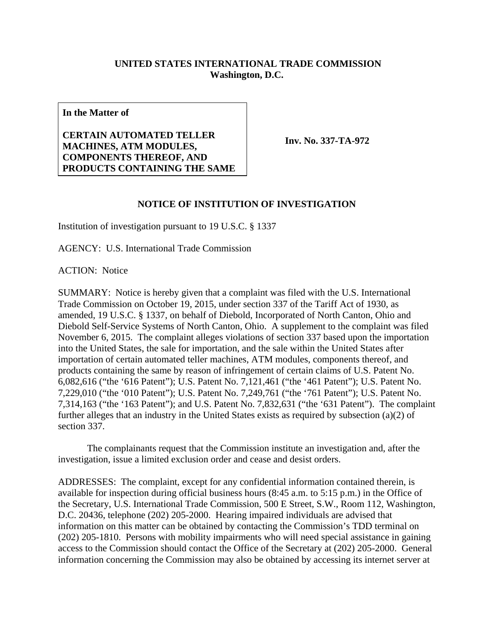## **UNITED STATES INTERNATIONAL TRADE COMMISSION Washington, D.C.**

**In the Matter of** 

**CERTAIN AUTOMATED TELLER MACHINES, ATM MODULES, COMPONENTS THEREOF, AND PRODUCTS CONTAINING THE SAME**

**Inv. No. 337-TA-972**

## **NOTICE OF INSTITUTION OF INVESTIGATION**

Institution of investigation pursuant to 19 U.S.C. § 1337

AGENCY: U.S. International Trade Commission

ACTION: Notice

SUMMARY: Notice is hereby given that a complaint was filed with the U.S. International Trade Commission on October 19, 2015, under section 337 of the Tariff Act of 1930, as amended, 19 U.S.C. § 1337, on behalf of Diebold, Incorporated of North Canton, Ohio and Diebold Self-Service Systems of North Canton, Ohio. A supplement to the complaint was filed November 6, 2015. The complaint alleges violations of section 337 based upon the importation into the United States, the sale for importation, and the sale within the United States after importation of certain automated teller machines, ATM modules, components thereof, and products containing the same by reason of infringement of certain claims of U.S. Patent No. 6,082,616 ("the '616 Patent"); U.S. Patent No. 7,121,461 ("the '461 Patent"); U.S. Patent No. 7,229,010 ("the '010 Patent"); U.S. Patent No. 7,249,761 ("the '761 Patent"); U.S. Patent No. 7,314,163 ("the '163 Patent"); and U.S. Patent No. 7,832,631 ("the '631 Patent"). The complaint further alleges that an industry in the United States exists as required by subsection (a)(2) of section 337.

 The complainants request that the Commission institute an investigation and, after the investigation, issue a limited exclusion order and cease and desist orders.

ADDRESSES: The complaint, except for any confidential information contained therein, is available for inspection during official business hours (8:45 a.m. to 5:15 p.m.) in the Office of the Secretary, U.S. International Trade Commission, 500 E Street, S.W., Room 112, Washington, D.C. 20436, telephone (202) 205-2000. Hearing impaired individuals are advised that information on this matter can be obtained by contacting the Commission's TDD terminal on (202) 205-1810. Persons with mobility impairments who will need special assistance in gaining access to the Commission should contact the Office of the Secretary at (202) 205-2000. General information concerning the Commission may also be obtained by accessing its internet server at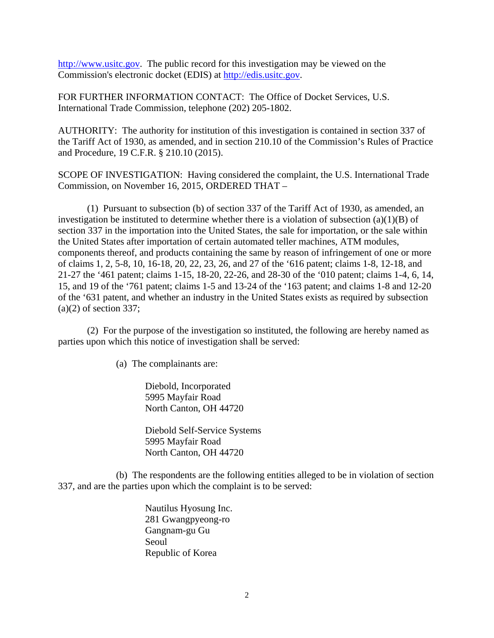http://www.usitc.gov. The public record for this investigation may be viewed on the Commission's electronic docket (EDIS) at http://edis.usitc.gov.

FOR FURTHER INFORMATION CONTACT: The Office of Docket Services, U.S. International Trade Commission, telephone (202) 205-1802.

AUTHORITY: The authority for institution of this investigation is contained in section 337 of the Tariff Act of 1930, as amended, and in section 210.10 of the Commission's Rules of Practice and Procedure, 19 C.F.R. § 210.10 (2015).

SCOPE OF INVESTIGATION: Having considered the complaint, the U.S. International Trade Commission, on November 16, 2015, ORDERED THAT –

 (1) Pursuant to subsection (b) of section 337 of the Tariff Act of 1930, as amended, an investigation be instituted to determine whether there is a violation of subsection  $(a)(1)(B)$  of section 337 in the importation into the United States, the sale for importation, or the sale within the United States after importation of certain automated teller machines, ATM modules, components thereof, and products containing the same by reason of infringement of one or more of claims 1, 2, 5-8, 10, 16-18, 20, 22, 23, 26, and 27 of the '616 patent; claims 1-8, 12-18, and 21-27 the '461 patent; claims 1-15, 18-20, 22-26, and 28-30 of the '010 patent; claims 1-4, 6, 14, 15, and 19 of the '761 patent; claims 1-5 and 13-24 of the '163 patent; and claims 1-8 and 12-20 of the '631 patent, and whether an industry in the United States exists as required by subsection  $(a)(2)$  of section 337;

 (2) For the purpose of the investigation so instituted, the following are hereby named as parties upon which this notice of investigation shall be served:

(a) The complainants are:

Diebold, Incorporated 5995 Mayfair Road North Canton, OH 44720

Diebold Self-Service Systems 5995 Mayfair Road North Canton, OH 44720

 (b) The respondents are the following entities alleged to be in violation of section 337, and are the parties upon which the complaint is to be served:

> Nautilus Hyosung Inc. 281 Gwangpyeong-ro Gangnam-gu Gu Seoul Republic of Korea